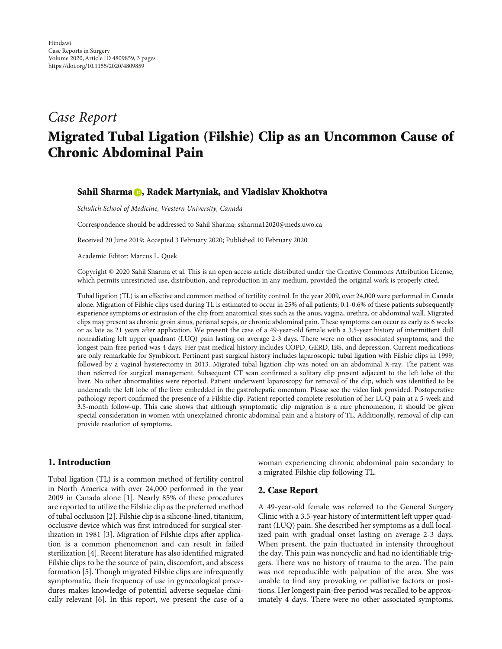# Case Report Migrated Tubal Ligation (Filshie) Clip as an Uncommon Cause of Chronic Abdominal Pain

### Sahil Sharma **D**, Radek Martyniak, and Vladislav Khokhotva

Schulich School of Medicine, Western University, Canada

Correspondence should be addressed to Sahil Sharma; ssharma12020@meds.uwo.ca

Received 20 June 2019; Accepted 3 February 2020; Published 10 February 2020

Academic Editor: Marcus L. Quek

Copyright © 2020 Sahil Sharma et al. This is an open access article distributed under the Creative Commons Attribution License, which permits unrestricted use, distribution, and reproduction in any medium, provided the original work is properly cited.

Tubal ligation (TL) is an effective and common method of fertility control. In the year 2009, over 24,000 were performed in Canada alone. Migration of Filshie clips used during TL is estimated to occur in 25% of all patients; 0.1-0.6% of these patients subsequently experience symptoms or extrusion of the clip from anatomical sites such as the anus, vagina, urethra, or abdominal wall. Migrated clips may present as chronic groin sinus, perianal sepsis, or chronic abdominal pain. These symptoms can occur as early as 6 weeks or as late as 21 years after application. We present the case of a 49-year-old female with a 3.5-year history of intermittent dull nonradiating left upper quadrant (LUQ) pain lasting on average 2-3 days. There were no other associated symptoms, and the longest pain-free period was 4 days. Her past medical history includes COPD, GERD, IBS, and depression. Current medications are only remarkable for Symbicort. Pertinent past surgical history includes laparoscopic tubal ligation with Filshie clips in 1999, followed by a vaginal hysterectomy in 2013. Migrated tubal ligation clip was noted on an abdominal X-ray. The patient was then referred for surgical management. Subsequent CT scan confirmed a solitary clip present adjacent to the left lobe of the liver. No other abnormalities were reported. Patient underwent laparoscopy for removal of the clip, which was identified to be underneath the left lobe of the liver embedded in the gastrohepatic omentum. Please see the video link provided. Postoperative pathology report confirmed the presence of a Filshie clip. Patient reported complete resolution of her LUQ pain at a 5-week and 3.5-month follow-up. This case shows that although symptomatic clip migration is a rare phenomenon, it should be given special consideration in women with unexplained chronic abdominal pain and a history of TL. Additionally, removal of clip can provide resolution of symptoms.

### 1. Introduction

Tubal ligation (TL) is a common method of fertility control in North America with over 24,000 performed in the year 2009 in Canada alone [1]. Nearly 85% of these procedures are reported to utilize the Filshie clip as the preferred method of tubal occlusion [2]. Filshie clip is a silicone-lined, titanium, occlusive device which was first introduced for surgical sterilization in 1981 [3]. Migration of Filshie clips after application is a common phenomenon and can result in failed sterilization [4]. Recent literature has also identified migrated Filshie clips to be the source of pain, discomfort, and abscess formation [5]. Though migrated Filshie clips are infrequently symptomatic, their frequency of use in gynecological procedures makes knowledge of potential adverse sequelae clinically relevant [6]. In this report, we present the case of a

woman experiencing chronic abdominal pain secondary to a migrated Filshie clip following TL.

### 2. Case Report

A 49-year-old female was referred to the General Surgery Clinic with a 3.5-year history of intermittent left upper quadrant (LUQ) pain. She described her symptoms as a dull localized pain with gradual onset lasting on average 2-3 days. When present, the pain fluctuated in intensity throughout the day. This pain was noncyclic and had no identifiable triggers. There was no history of trauma to the area. The pain was not reproducible with palpation of the area. She was unable to find any provoking or palliative factors or positions. Her longest pain-free period was recalled to be approximately 4 days. There were no other associated symptoms.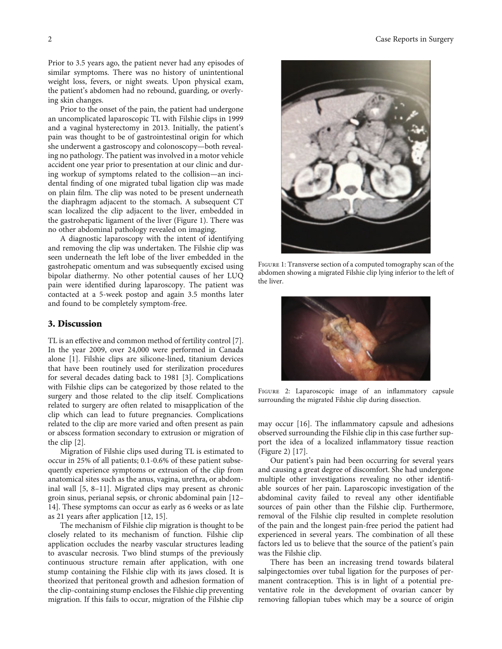Prior to 3.5 years ago, the patient never had any episodes of similar symptoms. There was no history of unintentional weight loss, fevers, or night sweats. Upon physical exam, the patient's abdomen had no rebound, guarding, or overlying skin changes.

Prior to the onset of the pain, the patient had undergone an uncomplicated laparoscopic TL with Filshie clips in 1999 and a vaginal hysterectomy in 2013. Initially, the patient's pain was thought to be of gastrointestinal origin for which she underwent a gastroscopy and colonoscopy—both revealing no pathology. The patient was involved in a motor vehicle accident one year prior to presentation at our clinic and during workup of symptoms related to the collision—an incidental finding of one migrated tubal ligation clip was made on plain film. The clip was noted to be present underneath the diaphragm adjacent to the stomach. A subsequent CT scan localized the clip adjacent to the liver, embedded in the gastrohepatic ligament of the liver (Figure 1). There was no other abdominal pathology revealed on imaging.

A diagnostic laparoscopy with the intent of identifying and removing the clip was undertaken. The Filshie clip was seen underneath the left lobe of the liver embedded in the gastrohepatic omentum and was subsequently excised using bipolar diathermy. No other potential causes of her LUQ pain were identified during laparoscopy. The patient was contacted at a 5-week postop and again 3.5 months later and found to be completely symptom-free.

## 3. Discussion

TL is an effective and common method of fertility control [7]. In the year 2009, over 24,000 were performed in Canada alone [1]. Filshie clips are silicone-lined, titanium devices that have been routinely used for sterilization procedures for several decades dating back to 1981 [3]. Complications with Filshie clips can be categorized by those related to the surgery and those related to the clip itself. Complications related to surgery are often related to misapplication of the clip which can lead to future pregnancies. Complications related to the clip are more varied and often present as pain or abscess formation secondary to extrusion or migration of the clip [2].

Migration of Filshie clips used during TL is estimated to occur in 25% of all patients; 0.1-0.6% of these patient subsequently experience symptoms or extrusion of the clip from anatomical sites such as the anus, vagina, urethra, or abdominal wall [5, 8–11]. Migrated clips may present as chronic groin sinus, perianal sepsis, or chronic abdominal pain [12– 14]. These symptoms can occur as early as 6 weeks or as late as 21 years after application [12, 15].

The mechanism of Filshie clip migration is thought to be closely related to its mechanism of function. Filshie clip application occludes the nearby vascular structures leading to avascular necrosis. Two blind stumps of the previously continuous structure remain after application, with one stump containing the Filshie clip with its jaws closed. It is theorized that peritoneal growth and adhesion formation of the clip-containing stump encloses the Filshie clip preventing migration. If this fails to occur, migration of the Filshie clip



Figure 1: Transverse section of a computed tomography scan of the abdomen showing a migrated Filshie clip lying inferior to the left of the liver.



FIGURE 2: Laparoscopic image of an inflammatory capsule surrounding the migrated Filshie clip during dissection.

may occur [16]. The inflammatory capsule and adhesions observed surrounding the Filshie clip in this case further support the idea of a localized inflammatory tissue reaction (Figure 2) [17].

Our patient's pain had been occurring for several years and causing a great degree of discomfort. She had undergone multiple other investigations revealing no other identifiable sources of her pain. Laparoscopic investigation of the abdominal cavity failed to reveal any other identifiable sources of pain other than the Filshie clip. Furthermore, removal of the Filshie clip resulted in complete resolution of the pain and the longest pain-free period the patient had experienced in several years. The combination of all these factors led us to believe that the source of the patient's pain was the Filshie clip.

There has been an increasing trend towards bilateral salpingectomies over tubal ligation for the purposes of permanent contraception. This is in light of a potential preventative role in the development of ovarian cancer by removing fallopian tubes which may be a source of origin